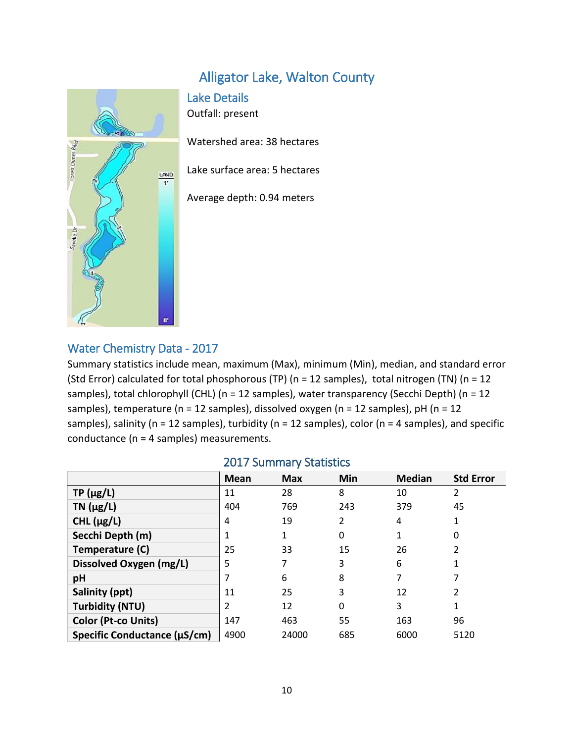# Alligator Lake, Walton County

## Lake Details

Outfall: present

Watershed area: 38 hectares

Lake surface area: 5 hectares

Average depth: 0.94 meters

#### Water Chemistry Data - 2017

Summary statistics include mean, maximum (Max), minimum (Min), median, and standard error (Std Error) calculated for total phosphorous (TP) (n = 12 samples), total nitrogen (TN) (n = 12 samples), total chlorophyll (CHL) (n = 12 samples), water transparency (Secchi Depth) (n = 12 samples), temperature (n = 12 samples), dissolved oxygen (n = 12 samples), pH (n = 12 samples), salinity ( $n = 12$  samples), turbidity ( $n = 12$  samples), color ( $n = 4$  samples), and specific conductance (n = 4 samples) measurements.

|                              | <b>Mean</b> | <b>Max</b> | Min      | <b>Median</b> | <b>Std Error</b> |
|------------------------------|-------------|------------|----------|---------------|------------------|
| $TP(\mu g/L)$                | 11          | 28         | 8        | 10            | 2                |
| $TN$ ( $\mu$ g/L)            | 404         | 769        | 243      | 379           | 45               |
| CHL $(\mu g/L)$              | 4           | 19         | 2        | 4             |                  |
| Secchi Depth (m)             |             |            | 0        | 1             | 0                |
| Temperature (C)              | 25          | 33         | 15       | 26            | 2                |
| Dissolved Oxygen (mg/L)      | 5           |            | 3        | 6             |                  |
| pH                           |             | 6          | 8        | 7             |                  |
| Salinity (ppt)               | 11          | 25         | 3        | 12            | 2                |
| <b>Turbidity (NTU)</b>       | 2           | 12         | $\Omega$ | 3             |                  |
| <b>Color (Pt-co Units)</b>   | 147         | 463        | 55       | 163           | 96               |
| Specific Conductance (µS/cm) | 4900        | 24000      | 685      | 6000          | 5120             |

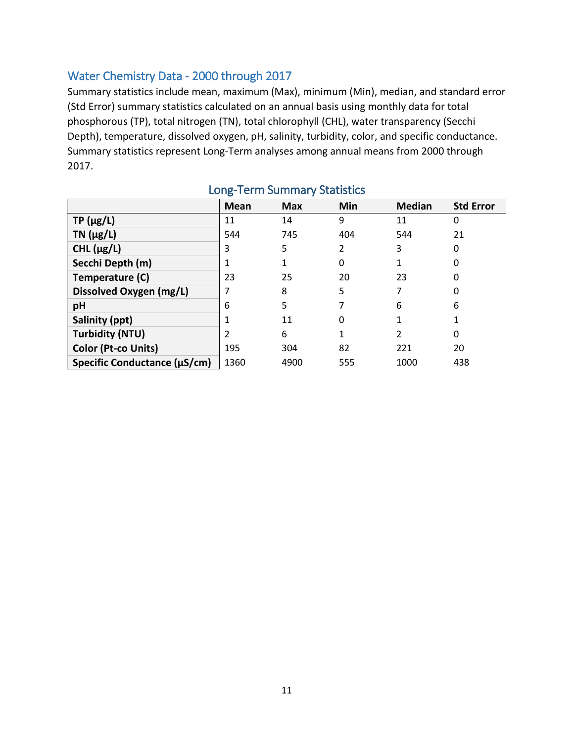## Water Chemistry Data - 2000 through 2017

Summary statistics include mean, maximum (Max), minimum (Min), median, and standard error (Std Error) summary statistics calculated on an annual basis using monthly data for total phosphorous (TP), total nitrogen (TN), total chlorophyll (CHL), water transparency (Secchi Depth), temperature, dissolved oxygen, pH, salinity, turbidity, color, and specific conductance. Summary statistics represent Long-Term analyses among annual means from 2000 through 2017.

|                              | <b>Mean</b> | <b>Max</b> | Min | <b>Median</b> | <b>Std Error</b> |
|------------------------------|-------------|------------|-----|---------------|------------------|
| $TP(\mu g/L)$                | 11          | 14         | 9   | 11            | 0                |
| $TN$ ( $\mu$ g/L)            | 544         | 745        | 404 | 544           | 21               |
| CHL $(\mu g/L)$              | 3           | 5          | 2   | 3             | 0                |
| Secchi Depth (m)             |             |            | 0   |               | 0                |
| Temperature (C)              | 23          | 25         | 20  | 23            | 0                |
| Dissolved Oxygen (mg/L)      |             | 8          | 5   | 7             | 0                |
| pH                           | 6           | 5          |     | 6             | 6                |
| Salinity (ppt)               |             | 11         | 0   |               |                  |
| <b>Turbidity (NTU)</b>       |             | 6          |     | 2             | 0                |
| Color (Pt-co Units)          | 195         | 304        | 82  | 221           | 20               |
| Specific Conductance (µS/cm) | 1360        | 4900       | 555 | 1000          | 438              |

# Long-Term Summary Statistics